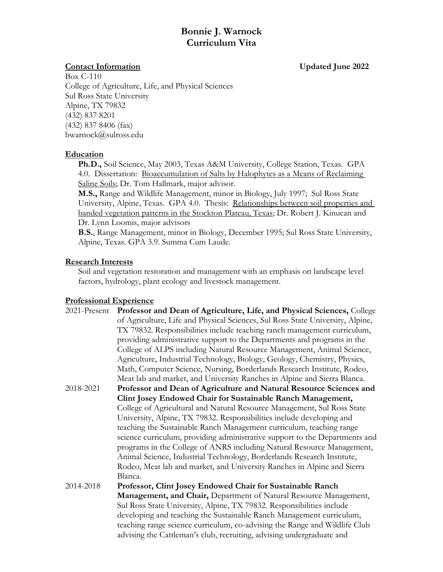# **Bonnie J. Warnock Curriculum Vita**

## **Contact Information Updated June 2022**

Box C-110 College of Agriculture, Life, and Physical Sciences Sul Ross State University Alpine, TX 79832 (432) 837 8201 (432) 837 8406 (fax) bwarnock@sulross.edu

## **Education**

**Ph.D.,** Soil Science, May 2003, Texas A&M University, College Station, Texas. GPA 4.0. Dissertation: Bioaccumulation of Salts by Halophytes as a Means of Reclaiming Saline Soils; Dr. Tom Hallmark, major advisor.

**M.S.,** Range and Wildlife Management, minor in Biology, July 1997; Sul Ross State University, Alpine, Texas. GPA 4.0. Thesis: Relationships between soil properties and banded vegetation patterns in the Stockton Plateau, Texas; Dr. Robert J. Kinucan and Dr. Lynn Loomis, major advisors

**B.S.**, Range Management, minor in Biology, December 1995; Sul Ross State University, Alpine, Texas. GPA 3.9. Summa Cum Laude.

## **Research Interests**

Soil and vegetation restoration and management with an emphasis on landscape level factors, hydrology, plant ecology and livestock management.

## **Professional Experience**

| 2021-Present | Professor and Dean of Agriculture, Life, and Physical Sciences, College        |
|--------------|--------------------------------------------------------------------------------|
|              | of Agriculture, Life and Physical Sciences, Sul Ross State University, Alpine, |
|              | TX 79832. Responsibilities include teaching ranch management curriculum,       |
|              | providing administrative support to the Departments and programs in the        |
|              | College of ALPS including Natural Resource Management, Animal Science,         |
|              | Agriculture, Industrial Technology, Biology, Geology, Chemistry, Physics,      |
|              | Math, Computer Science, Nursing, Borderlands Research Institute, Rodeo,        |
|              | Meat lab and market, and University Ranches in Alpine and Sierra Blanca.       |
| 2018-2021    | Professor and Dean of Agriculture and Natural Resource Sciences and            |
|              | Clint Josey Endowed Chair for Sustainable Ranch Management,                    |
|              | College of Agricultural and Natural Resource Management, Sul Ross State        |
|              | University, Alpine, TX 79832. Responsibilities include developing and          |
|              | teaching the Sustainable Ranch Management curriculum, teaching range           |
|              | science curriculum, providing administrative support to the Departments and    |
|              | programs in the College of ANRS including Natural Resource Management,         |
|              | Animal Science, Industrial Technology, Borderlands Research Institute,         |
|              | Rodeo, Meat lab and market, and University Ranches in Alpine and Sierra        |
|              | Blanca.                                                                        |
| 2014-2018    | Professor, Clint Josey Endowed Chair for Sustainable Ranch                     |
|              | <b>Management, and Chair, Department of Natural Resource Management,</b>       |
|              | Sul Ross State University, Alpine, TX 79832. Responsibilities include          |
|              | developing and teaching the Sustainable Ranch Management curriculum,           |
|              | teaching range science curriculum, co-advising the Range and Wildlife Club     |
|              | advising the Cattleman's club, recruiting, advising undergraduate and          |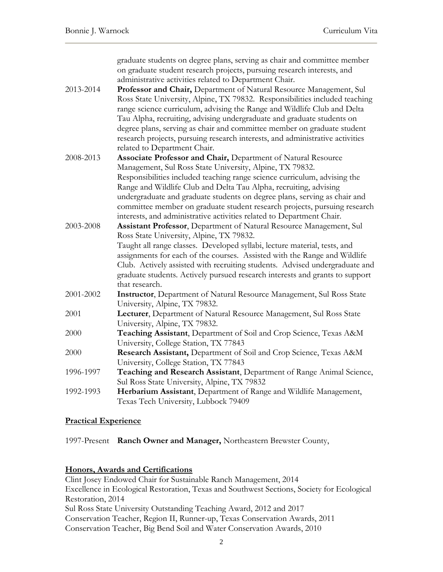|           | graduate students on degree plans, serving as chair and committee member<br>on graduate student research projects, pursuing research interests, and |
|-----------|-----------------------------------------------------------------------------------------------------------------------------------------------------|
|           | administrative activities related to Department Chair.                                                                                              |
| 2013-2014 | Professor and Chair, Department of Natural Resource Management, Sul                                                                                 |
|           | Ross State University, Alpine, TX 79832. Responsibilities included teaching                                                                         |
|           | range science curriculum, advising the Range and Wildlife Club and Delta                                                                            |
|           | Tau Alpha, recruiting, advising undergraduate and graduate students on                                                                              |
|           | degree plans, serving as chair and committee member on graduate student                                                                             |
|           | research projects, pursuing research interests, and administrative activities                                                                       |
|           | related to Department Chair.                                                                                                                        |
| 2008-2013 | Associate Professor and Chair, Department of Natural Resource                                                                                       |
|           | Management, Sul Ross State University, Alpine, TX 79832.                                                                                            |
|           | Responsibilities included teaching range science curriculum, advising the                                                                           |
|           | Range and Wildlife Club and Delta Tau Alpha, recruiting, advising                                                                                   |
|           | undergraduate and graduate students on degree plans, serving as chair and                                                                           |
|           | committee member on graduate student research projects, pursuing research                                                                           |
|           | interests, and administrative activities related to Department Chair.                                                                               |
| 2003-2008 | Assistant Professor, Department of Natural Resource Management, Sul                                                                                 |
|           | Ross State University, Alpine, TX 79832.                                                                                                            |
|           | Taught all range classes. Developed syllabi, lecture material, tests, and                                                                           |
|           | assignments for each of the courses. Assisted with the Range and Wildlife                                                                           |
|           | Club. Actively assisted with recruiting students. Advised undergraduate and                                                                         |
|           | graduate students. Actively pursued research interests and grants to support<br>that research.                                                      |
| 2001-2002 | Instructor, Department of Natural Resource Management, Sul Ross State                                                                               |
|           | University, Alpine, TX 79832.                                                                                                                       |
| 2001      | Lecturer, Department of Natural Resource Management, Sul Ross State                                                                                 |
|           | University, Alpine, TX 79832.                                                                                                                       |
| 2000      | Teaching Assistant, Department of Soil and Crop Science, Texas A&M                                                                                  |
|           | University, College Station, TX 77843                                                                                                               |
| 2000      | Research Assistant, Department of Soil and Crop Science, Texas A&M                                                                                  |
|           | University, College Station, TX 77843                                                                                                               |
| 1996-1997 | Teaching and Research Assistant, Department of Range Animal Science,                                                                                |
|           | Sul Ross State University, Alpine, TX 79832                                                                                                         |
| 1992-1993 | Herbarium Assistant, Department of Range and Wildlife Management,                                                                                   |
|           | Texas Tech University, Lubbock 79409                                                                                                                |

#### **Practical Experience**

1997-Present **Ranch Owner and Manager,** Northeastern Brewster County,

### **Honors, Awards and Certifications**

Clint Josey Endowed Chair for Sustainable Ranch Management, 2014 Excellence in Ecological Restoration, Texas and Southwest Sections, Society for Ecological Restoration, 2014 Sul Ross State University Outstanding Teaching Award, 2012 and 2017 Conservation Teacher, Region II, Runner-up, Texas Conservation Awards, 2011 Conservation Teacher, Big Bend Soil and Water Conservation Awards, 2010

2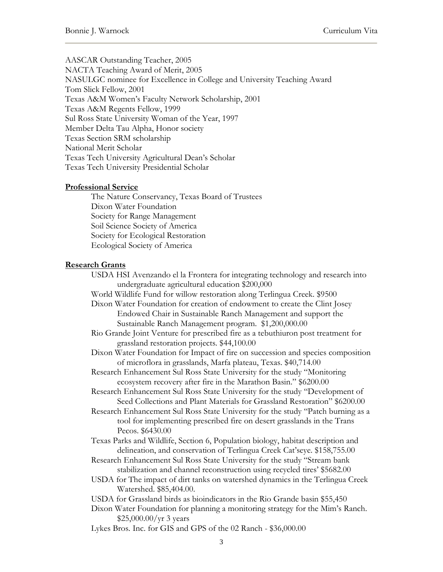AASCAR Outstanding Teacher, 2005 NACTA Teaching Award of Merit, 2005 NASULGC nominee for Excellence in College and University Teaching Award Tom Slick Fellow, 2001 Texas A&M Women's Faculty Network Scholarship, 2001 Texas A&M Regents Fellow, 1999 Sul Ross State University Woman of the Year, 1997 Member Delta Tau Alpha, Honor society Texas Section SRM scholarship National Merit Scholar Texas Tech University Agricultural Dean's Scholar Texas Tech University Presidential Scholar

#### **Professional Service**

The Nature Conservancy, Texas Board of Trustees Dixon Water Foundation Society for Range Management Soil Science Society of America Society for Ecological Restoration Ecological Society of America

#### **Research Grants**

USDA HSI Avenzando el la Frontera for integrating technology and research into undergraduate agricultural education \$200,000 World Wildlife Fund for willow restoration along Terlingua Creek. \$9500 Dixon Water Foundation for creation of endowment to create the Clint Josey Endowed Chair in Sustainable Ranch Management and support the Sustainable Ranch Management program. \$1,200,000.00 Rio Grande Joint Venture for prescribed fire as a tebuthiuron post treatment for grassland restoration projects. \$44,100.00 Dixon Water Foundation for Impact of fire on succession and species composition of microflora in grasslands, Marfa plateau, Texas. \$40,714.00 Research Enhancement Sul Ross State University for the study "Monitoring ecosystem recovery after fire in the Marathon Basin." \$6200.00 Research Enhancement Sul Ross State University for the study "Development of Seed Collections and Plant Materials for Grassland Restoration" \$6200.00 Research Enhancement Sul Ross State University for the study "Patch burning as a tool for implementing prescribed fire on desert grasslands in the Trans Pecos. \$6430.00 Texas Parks and Wildlife, Section 6, Population biology, habitat description and delineation, and conservation of Terlingua Creek Cat'seye. \$158,755.00 Research Enhancement Sul Ross State University for the study "Stream bank stabilization and channel reconstruction using recycled tires' \$5682.00 USDA for The impact of dirt tanks on watershed dynamics in the Terlingua Creek Watershed. \$85,404.00. USDA for Grassland birds as bioindicators in the Rio Grande basin \$55,450 Dixon Water Foundation for planning a monitoring strategy for the Mim's Ranch. \$25,000.00/yr 3 years Lykes Bros. Inc. for GIS and GPS of the 02 Ranch - \$36,000.00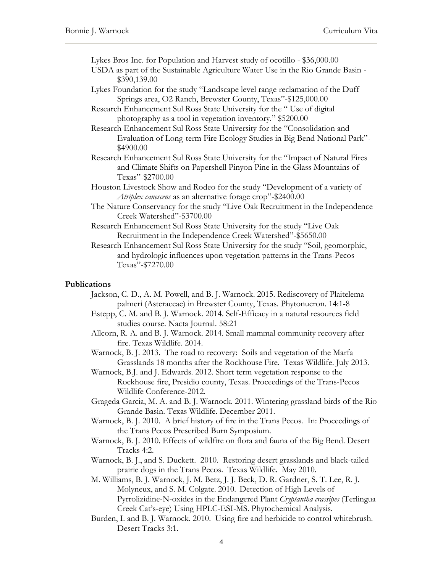Lykes Bros Inc. for Population and Harvest study of ocotillo - \$36,000.00

- USDA as part of the Sustainable Agriculture Water Use in the Rio Grande Basin \$390,139.00
- Lykes Foundation for the study "Landscape level range reclamation of the Duff Springs area, O2 Ranch, Brewster County, Texas"-\$125,000.00

Research Enhancement Sul Ross State University for the " Use of digital photography as a tool in vegetation inventory." \$5200.00

Research Enhancement Sul Ross State University for the "Consolidation and Evaluation of Long-term Fire Ecology Studies in Big Bend National Park"- \$4900.00

- Research Enhancement Sul Ross State University for the "Impact of Natural Fires and Climate Shifts on Papershell Pinyon Pine in the Glass Mountains of Texas"-\$2700.00
- Houston Livestock Show and Rodeo for the study "Development of a variety of *Atriplex canescens* as an alternative forage crop"-\$2400.00
- The Nature Conservancy for the study "Live Oak Recruitment in the Independence Creek Watershed"-\$3700.00

Research Enhancement Sul Ross State University for the study "Live Oak Recruitment in the Independence Creek Watershed"-\$5650.00

Research Enhancement Sul Ross State University for the study "Soil, geomorphic, and hydrologic influences upon vegetation patterns in the Trans-Pecos Texas"-\$7270.00

#### **Publications**

- Jackson, C. D., A. M. Powell, and B. J. Warnock. 2015. Rediscovery of Plaitelema palmeri (Asteraceae) in Brewster County, Texas. Phytonueron. 14:1-8
- Estepp, C. M. and B. J. Warnock. 2014. Self-Efficacy in a natural resources field studies course. Nacta Journal. 58:21
- Allcorn, R. A. and B. J. Warnock. 2014. Small mammal community recovery after fire. Texas Wildlife. 2014.
- Warnock, B. J. 2013. The road to recovery: Soils and vegetation of the Marfa Grasslands 18 months after the Rockhouse Fire. Texas Wildlife. July 2013.
- Warnock, B.J. and J. Edwards. 2012. Short term vegetation response to the Rockhouse fire, Presidio county, Texas. Proceedings of the Trans-Pecos Wildlife Conference-2012.
- Grageda Garcia, M. A. and B. J. Warnock. 2011. Wintering grassland birds of the Rio Grande Basin. Texas Wildlife. December 2011.
- Warnock, B. J. 2010. A brief history of fire in the Trans Pecos. In: Proceedings of the Trans Pecos Prescribed Burn Symposium.
- Warnock, B. J. 2010. Effects of wildfire on flora and fauna of the Big Bend. Desert Tracks 4:2.
- Warnock, B. J., and S. Duckett. 2010. Restoring desert grasslands and black-tailed prairie dogs in the Trans Pecos. Texas Wildlife. May 2010.
- M. Williams, B. J. Warnock, J. M. Betz, J. J. Beck, D. R. Gardner, S. T. Lee, R. J. Molyneux, and S. M. Colgate. 2010. Detection of High Levels of Pyrrolizidine-N-oxides in the Endangered Plant *Cryptantha crassipes* (Terlingua Creek Cat's-eye) Using HPLC-ESI-MS. Phytochemical Analysis.
- Burden, I. and B. J. Warnock. 2010. Using fire and herbicide to control whitebrush. Desert Tracks 3:1.